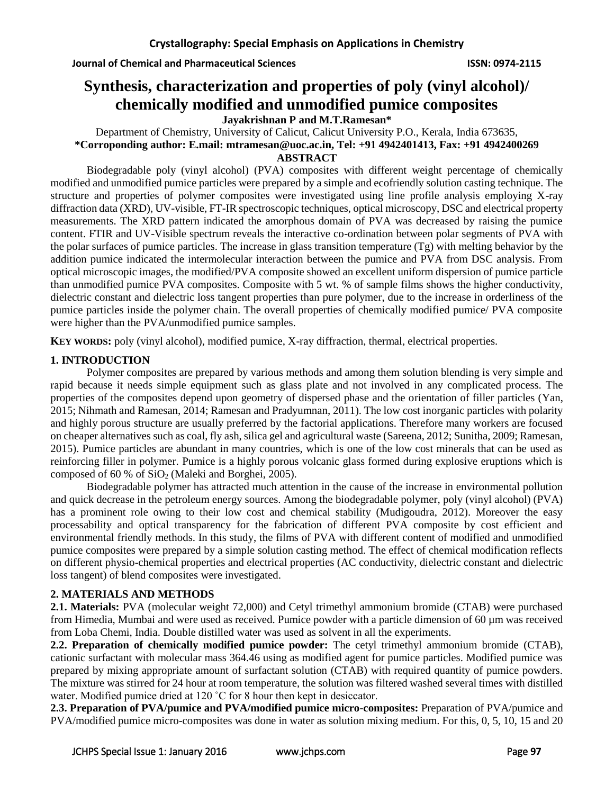# **Synthesis, characterization and properties of poly (vinyl alcohol)/ chemically modified and unmodified pumice composites**

**Jayakrishnan P and M.T.Ramesan\***

Department of Chemistry, University of Calicut, Calicut University P.O., Kerala, India 673635, **\*Corroponding author: E.mail: [mtramesan@uoc.ac.in,](mailto:mtramesan@uoc.ac.in) Tel: +91 4942401413, Fax: +91 4942400269 ABSTRACT**

Biodegradable poly (vinyl alcohol) (PVA) composites with different weight percentage of chemically modified and unmodified pumice particles were prepared by a simple and ecofriendly solution casting technique. The structure and properties of polymer composites were investigated using line profile analysis employing X-ray diffraction data (XRD), UV-visible, FT-IR spectroscopic techniques, optical microscopy, DSC and electrical property measurements. The XRD pattern indicated the amorphous domain of PVA was decreased by raising the pumice content. FTIR and UV-Visible spectrum reveals the interactive co-ordination between polar segments of PVA with the polar surfaces of pumice particles. The increase in glass transition temperature (Tg) with melting behavior by the addition pumice indicated the intermolecular interaction between the pumice and PVA from DSC analysis. From optical microscopic images, the modified/PVA composite showed an excellent uniform dispersion of pumice particle than unmodified pumice PVA composites. Composite with 5 wt. % of sample films shows the higher conductivity, dielectric constant and dielectric loss tangent properties than pure polymer, due to the increase in orderliness of the pumice particles inside the polymer chain. The overall properties of chemically modified pumice/ PVA composite were higher than the PVA/unmodified pumice samples.

**KEY WORDS:** poly (vinyl alcohol), modified pumice, X-ray diffraction, thermal, electrical properties.

# **1. INTRODUCTION**

Polymer composites are prepared by various methods and among them solution blending is very simple and rapid because it needs simple equipment such as glass plate and not involved in any complicated process. The properties of the composites depend upon geometry of dispersed phase and the orientation of filler particles (Yan, 2015; Nihmath and Ramesan, 2014; Ramesan and Pradyumnan, 2011). The low cost inorganic particles with polarity and highly porous structure are usually preferred by the factorial applications. Therefore many workers are focused on cheaper alternatives such as coal, fly ash, silica gel and agricultural waste (Sareena, 2012; Sunitha, 2009; Ramesan, 2015). Pumice particles are abundant in many countries, which is one of the low cost minerals that can be used as reinforcing filler in polymer. Pumice is a highly porous volcanic glass formed during explosive eruptions which is composed of 60 % of SiO<sup>2</sup> (Maleki and Borghei, 2005).

Biodegradable polymer has attracted much attention in the cause of the increase in environmental pollution and quick decrease in the petroleum energy sources. Among the biodegradable polymer, poly (vinyl alcohol) (PVA) has a prominent role owing to their low cost and chemical stability (Mudigoudra, 2012). Moreover the easy processability and optical transparency for the fabrication of different PVA composite by cost efficient and environmental friendly methods. In this study, the films of PVA with different content of modified and unmodified pumice composites were prepared by a simple solution casting method. The effect of chemical modification reflects on different physio-chemical properties and electrical properties (AC conductivity, dielectric constant and dielectric loss tangent) of blend composites were investigated.

# **2. MATERIALS AND METHODS**

**2.1. Materials:** PVA (molecular weight 72,000) and Cetyl trimethyl ammonium bromide (CTAB) were purchased from Himedia, Mumbai and were used as received. Pumice powder with a particle dimension of 60 µm was received from Loba Chemi, India. Double distilled water was used as solvent in all the experiments.

**2.2. Preparation of chemically modified pumice powder:** The cetyl trimethyl ammonium bromide (CTAB), cationic surfactant with molecular mass 364.46 using as modified agent for pumice particles. Modified pumice was prepared by mixing appropriate amount of surfactant solution (CTAB) with required quantity of pumice powders. The mixture was stirred for 24 hour at room temperature, the solution was filtered washed several times with distilled water. Modified pumice dried at 120 °C for 8 hour then kept in desiccator.

**2.3. Preparation of PVA/pumice and PVA/modified pumice micro-composites:** Preparation of PVA/pumice and PVA/modified pumice micro-composites was done in water as solution mixing medium. For this, 0, 5, 10, 15 and 20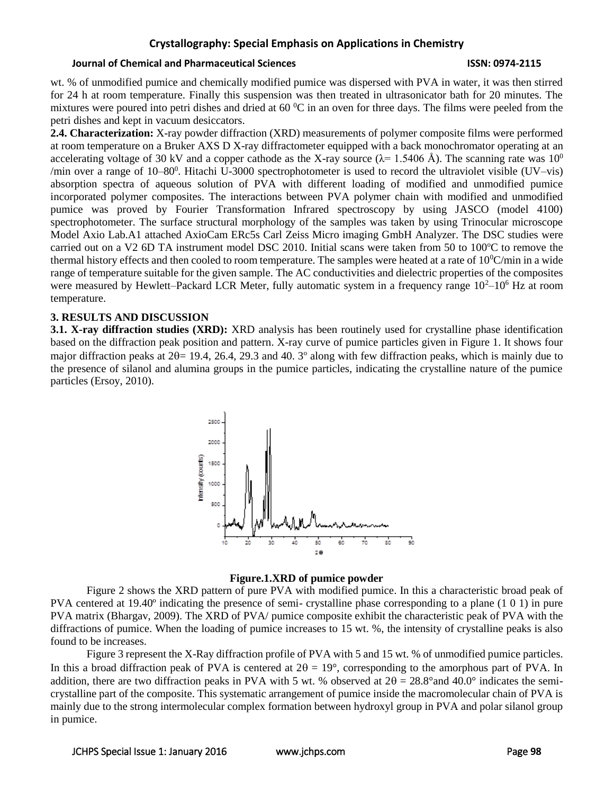#### **Journal of Chemical and Pharmaceutical Sciences ISSN: 0974-2115**

wt. % of unmodified pumice and chemically modified pumice was dispersed with PVA in water, it was then stirred for 24 h at room temperature. Finally this suspension was then treated in ultrasonicator bath for 20 minutes. The mixtures were poured into petri dishes and dried at  $60<sup>0</sup>C$  in an oven for three days. The films were peeled from the petri dishes and kept in vacuum desiccators.

**2.4. Characterization:** X-ray powder diffraction (XRD) measurements of polymer composite films were performed at room temperature on a Bruker AXS D X-ray diffractometer equipped with a back monochromator operating at an accelerating voltage of 30 kV and a copper cathode as the X-ray source  $(\lambda = 1.5406 \text{ Å})$ . The scanning rate was 10<sup>0</sup> /min over a range of  $10-80^0$ . Hitachi U-3000 spectrophotometer is used to record the ultraviolet visible (UV–vis) absorption spectra of aqueous solution of PVA with different loading of modified and unmodified pumice incorporated polymer composites. The interactions between PVA polymer chain with modified and unmodified pumice was proved by Fourier Transformation Infrared spectroscopy by using JASCO (model 4100) spectrophotometer. The surface structural morphology of the samples was taken by using Trinocular microscope Model Axio Lab.A1 attached AxioCam ERc5s Carl Zeiss Micro imaging GmbH Analyzer. The DSC studies were carried out on a V2 6D TA instrument model DSC 2010. Initial scans were taken from 50 to 100°C to remove the thermal history effects and then cooled to room temperature. The samples were heated at a rate of  $10^0$ C/min in a wide range of temperature suitable for the given sample. The AC conductivities and dielectric properties of the composites were measured by Hewlett–Packard LCR Meter, fully automatic system in a frequency range  $10<sup>2</sup>–10<sup>6</sup>$  Hz at room temperature.

### **3. RESULTS AND DISCUSSION**

**3.1. X-ray diffraction studies (XRD):** XRD analysis has been routinely used for crystalline phase identification based on the diffraction peak position and pattern. X-ray curve of pumice particles given in Figure 1. It shows four major diffraction peaks at  $2\theta = 19.4$ , 26.4, 29.3 and 40. 3 $\degree$  along with few diffraction peaks, which is mainly due to the presence of silanol and alumina groups in the pumice particles, indicating the crystalline nature of the pumice particles (Ersoy, 2010).



### **Figure.1.XRD of pumice powder**

Figure 2 shows the XRD pattern of pure PVA with modified pumice. In this a characteristic broad peak of PVA centered at 19.40º indicating the presence of semi- crystalline phase corresponding to a plane (1 0 1) in pure PVA matrix (Bhargav, 2009). The XRD of PVA/ pumice composite exhibit the characteristic peak of PVA with the diffractions of pumice. When the loading of pumice increases to 15 wt. %, the intensity of crystalline peaks is also found to be increases.

Figure 3 represent the X-Ray diffraction profile of PVA with 5 and 15 wt. % of unmodified pumice particles. In this a broad diffraction peak of PVA is centered at  $2\theta = 19^{\circ}$ , corresponding to the amorphous part of PVA. In addition, there are two diffraction peaks in PVA with 5 wt. % observed at  $2\theta = 28.8^{\circ}$  and 40.0° indicates the semicrystalline part of the composite. This systematic arrangement of pumice inside the macromolecular chain of PVA is mainly due to the strong intermolecular complex formation between hydroxyl group in PVA and polar silanol group in pumice.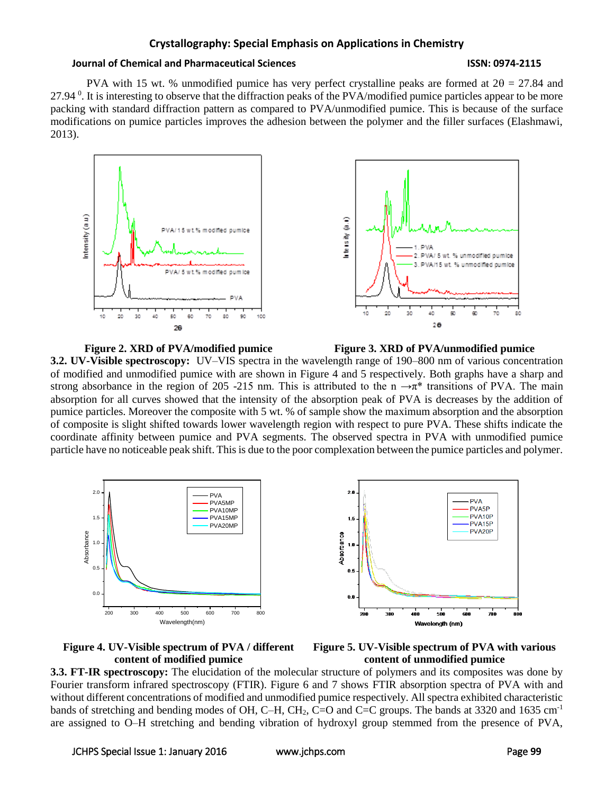#### **Journal of Chemical and Pharmaceutical Sciences ISSN: 0974-2115**

PVA with 15 wt. % unmodified pumice has very perfect crystalline peaks are formed at  $2\theta = 27.84$  and 27.94<sup>0</sup>. It is interesting to observe that the diffraction peaks of the PVA/modified pumice particles appear to be more packing with standard diffraction pattern as compared to PVA/unmodified pumice. This is because of the surface modifications on pumice particles improves the adhesion between the polymer and the filler surfaces (Elashmawi, 2013).



**Figure 2. XRD of PVA/modified pumice Figure 3. XRD of PVA/unmodified pumice 3.2. UV-Visible spectroscopy:** UV–VIS spectra in the wavelength range of 190–800 nm of various concentration of modified and unmodified pumice with are shown in Figure 4 and 5 respectively. Both graphs have a sharp and strong absorbance in the region of 205 -215 nm. This is attributed to the n  $\rightarrow \pi^*$  transitions of PVA. The main absorption for all curves showed that the intensity of the absorption peak of PVA is decreases by the addition of pumice particles. Moreover the composite with 5 wt. % of sample show the maximum absorption and the absorption of composite is slight shifted towards lower wavelength region with respect to pure PVA. These shifts indicate the coordinate affinity between pumice and PVA segments. The observed spectra in PVA with unmodified pumice particle have no noticeable peak shift. This is due to the poor complexation between the pumice particles and polymer.







**3.3. FT-IR spectroscopy:** The elucidation of the molecular structure of polymers and its composites was done by Fourier transform infrared spectroscopy (FTIR). Figure 6 and 7 shows FTIR absorption spectra of PVA with and without different concentrations of modified and unmodified pumice respectively. All spectra exhibited characteristic bands of stretching and bending modes of OH, C–H, CH<sub>2</sub>, C=O and C=C groups. The bands at 3320 and 1635 cm<sup>-1</sup> are assigned to O–H stretching and bending vibration of hydroxyl group stemmed from the presence of PVA,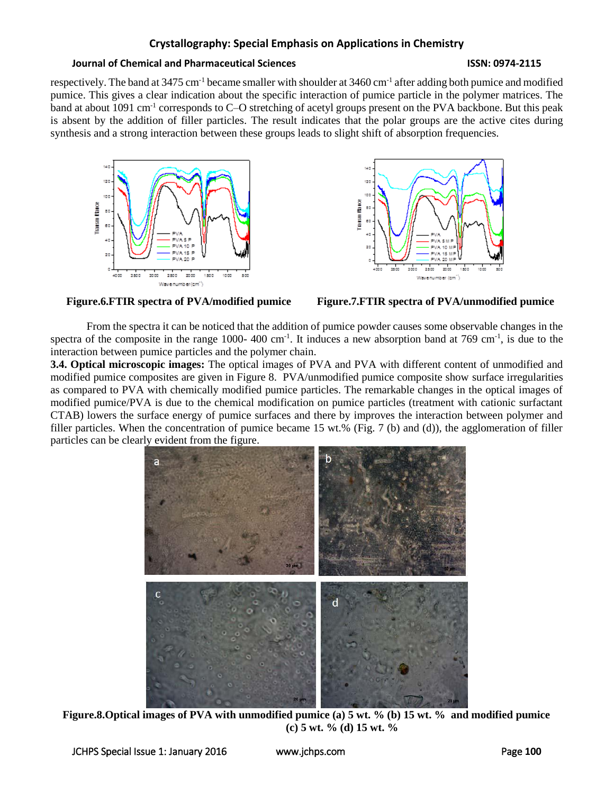### **Journal of Chemical and Pharmaceutical Sciences ISSN: 0974-2115**

respectively. The band at 3475 cm<sup>-1</sup> became smaller with shoulder at 3460 cm<sup>-1</sup> after adding both pumice and modified pumice. This gives a clear indication about the specific interaction of pumice particle in the polymer matrices. The band at about 1091 cm<sup>-1</sup> corresponds to C–O stretching of acetyl groups present on the PVA backbone. But this peak is absent by the addition of filler particles. The result indicates that the polar groups are the active cites during synthesis and a strong interaction between these groups leads to slight shift of absorption frequencies.







From the spectra it can be noticed that the addition of pumice powder causes some observable changes in the spectra of the composite in the range 1000-400 cm<sup>-1</sup>. It induces a new absorption band at 769 cm<sup>-1</sup>, is due to the interaction between pumice particles and the polymer chain.

**3.4. Optical microscopic images:** The optical images of PVA and PVA with different content of unmodified and modified pumice composites are given in Figure 8. PVA/unmodified pumice composite show surface irregularities as compared to PVA with chemically modified pumice particles. The remarkable changes in the optical images of modified pumice/PVA is due to the chemical modification on pumice particles (treatment with cationic surfactant CTAB) lowers the surface energy of pumice surfaces and there by improves the interaction between polymer and filler particles. When the concentration of pumice became 15 wt.% (Fig. 7 (b) and (d)), the agglomeration of filler particles can be clearly evident from the figure.



**Figure.8.Optical images of PVA with unmodified pumice (a) 5 wt. % (b) 15 wt. % and modified pumice (c) 5 wt. % (d) 15 wt. %**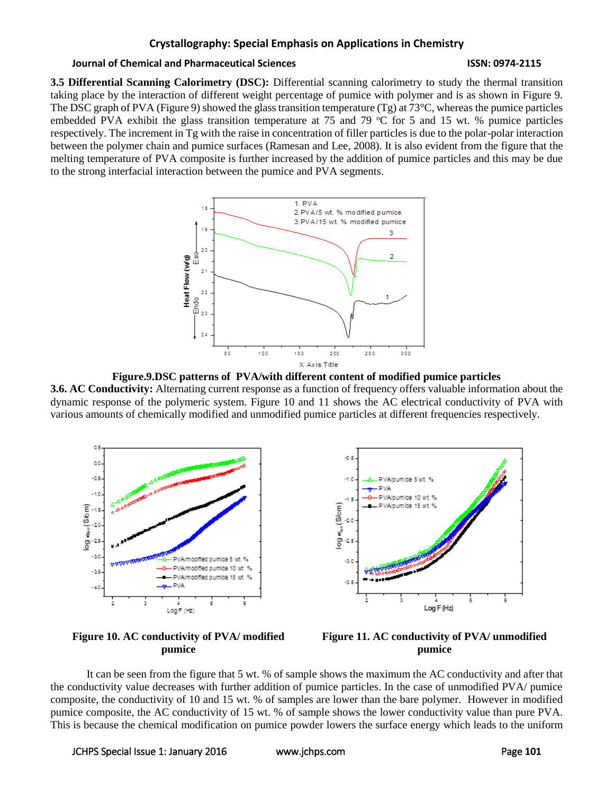#### **Journal of Chemical and Pharmaceutical Sciences ISSN: 0974-2115**

**3.5 Differential Scanning Calorimetry (DSC):** Differential scanning calorimetry to study the thermal transition taking place by the interaction of different weight percentage of pumice with polymer and is as shown in Figure 9. The DSC graph of PVA (Figure 9) showed the glass transition temperature (Tg) at  $73^{\circ}$ C, whereas the pumice particles embedded PVA exhibit the glass transition temperature at 75 and 79  $\degree$ C for 5 and 15 wt. % pumice particles respectively. The increment in Tg with the raise in concentration of filler particles is due to the polar-polar interaction between the polymer chain and pumice surfaces (Ramesan and Lee, 2008). It is also evident from the figure that the melting temperature of PVA composite is further increased by the addition of pumice particles and this may be due to the strong interfacial interaction between the pumice and PVA segments.







**Figure 10. AC conductivity of PVA/ modified pumice**



It can be seen from the figure that 5 wt. % of sample shows the maximum the AC conductivity and after that the conductivity value decreases with further addition of pumice particles. In the case of unmodified PVA/ pumice composite, the conductivity of 10 and 15 wt. % of samples are lower than the bare polymer. However in modified pumice composite, the AC conductivity of 15 wt. % of sample shows the lower conductivity value than pure PVA. This is because the chemical modification on pumice powder lowers the surface energy which leads to the uniform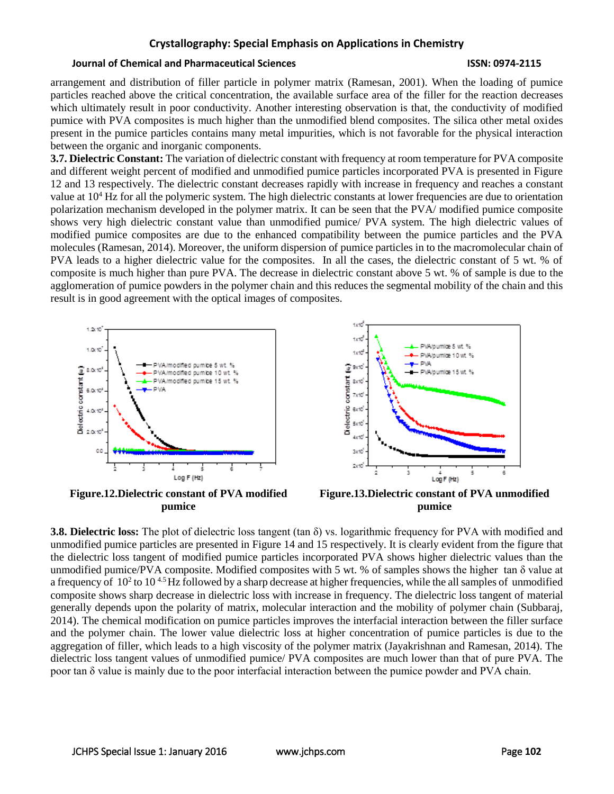### **Journal of Chemical and Pharmaceutical Sciences ISSN: 0974-2115**

arrangement and distribution of filler particle in polymer matrix (Ramesan, 2001). When the loading of pumice particles reached above the critical concentration, the available surface area of the filler for the reaction decreases which ultimately result in poor conductivity. Another interesting observation is that, the conductivity of modified pumice with PVA composites is much higher than the unmodified blend composites. The silica other metal oxides present in the pumice particles contains many metal impurities, which is not favorable for the physical interaction between the organic and inorganic components.

**3.7. Dielectric Constant:** The variation of dielectric constant with frequency at room temperature for PVA composite and different weight percent of modified and unmodified pumice particles incorporated PVA is presented in Figure 12 and 13 respectively. The dielectric constant decreases rapidly with increase in frequency and reaches a constant value at  $10<sup>4</sup>$  Hz for all the polymeric system. The high dielectric constants at lower frequencies are due to orientation polarization mechanism developed in the polymer matrix. It can be seen that the PVA/ modified pumice composite shows very high dielectric constant value than unmodified pumice/ PVA system. The high dielectric values of modified pumice composites are due to the enhanced compatibility between the pumice particles and the PVA molecules (Ramesan, 2014). Moreover, the uniform dispersion of pumice particles in to the macromolecular chain of PVA leads to a higher dielectric value for the composites. In all the cases, the dielectric constant of 5 wt. % of composite is much higher than pure PVA. The decrease in dielectric constant above 5 wt. % of sample is due to the agglomeration of pumice powders in the polymer chain and this reduces the segmental mobility of the chain and this result is in good agreement with the optical images of composites.



**3.8. Dielectric loss:** The plot of dielectric loss tangent (tan δ) vs. logarithmic frequency for PVA with modified and unmodified pumice particles are presented in Figure 14 and 15 respectively. It is clearly evident from the figure that the dielectric loss tangent of modified pumice particles incorporated PVA shows higher dielectric values than the unmodified pumice/PVA composite. Modified composites with 5 wt. % of samples shows the higher tan δ value at a frequency of  $10^2$  to  $10^{4.5}$  Hz followed by a sharp decrease at higher frequencies, while the all samples of unmodified composite shows sharp decrease in dielectric loss with increase in frequency. The dielectric loss tangent of material generally depends upon the polarity of matrix, molecular interaction and the mobility of polymer chain (Subbaraj, 2014). The chemical modification on pumice particles improves the interfacial interaction between the filler surface and the polymer chain. The lower value dielectric loss at higher concentration of pumice particles is due to the aggregation of filler, which leads to a high viscosity of the polymer matrix (Jayakrishnan and Ramesan, 2014). The dielectric loss tangent values of unmodified pumice/ PVA composites are much lower than that of pure PVA. The poor tan δ value is mainly due to the poor interfacial interaction between the pumice powder and PVA chain.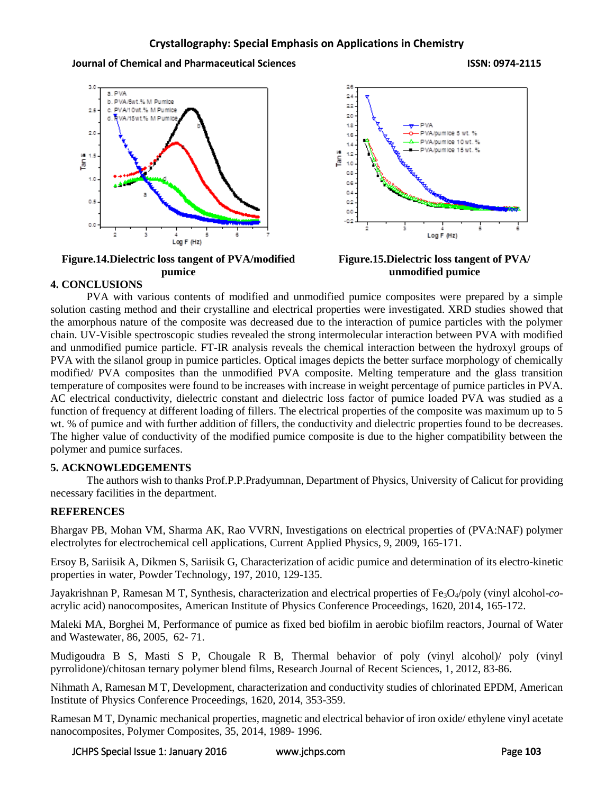**Journal of Chemical and Pharmaceutical Sciences ISSN: 0974-2115**



**Figure.14.Dielectric loss tangent of PVA/modified pumice**



**Figure.15.Dielectric loss tangent of PVA/ unmodified pumice**

# **4. CONCLUSIONS**

PVA with various contents of modified and unmodified pumice composites were prepared by a simple solution casting method and their crystalline and electrical properties were investigated. XRD studies showed that the amorphous nature of the composite was decreased due to the interaction of pumice particles with the polymer chain. UV-Visible spectroscopic studies revealed the strong intermolecular interaction between PVA with modified and unmodified pumice particle. FT-IR analysis reveals the chemical interaction between the hydroxyl groups of PVA with the silanol group in pumice particles. Optical images depicts the better surface morphology of chemically modified/ PVA composites than the unmodified PVA composite. Melting temperature and the glass transition temperature of composites were found to be increases with increase in weight percentage of pumice particles in PVA. AC electrical conductivity, dielectric constant and dielectric loss factor of pumice loaded PVA was studied as a function of frequency at different loading of fillers. The electrical properties of the composite was maximum up to 5 wt. % of pumice and with further addition of fillers, the conductivity and dielectric properties found to be decreases. The higher value of conductivity of the modified pumice composite is due to the higher compatibility between the polymer and pumice surfaces.

# **5. ACKNOWLEDGEMENTS**

The authors wish to thanks Prof.P.P.Pradyumnan, Department of Physics, University of Calicut for providing necessary facilities in the department.

# **REFERENCES**

Bhargav PB, Mohan VM, Sharma AK, Rao VVRN, Investigations on electrical properties of (PVA:NAF) polymer electrolytes for electrochemical cell applications, Current Applied Physics, 9, 2009, 165-171.

Ersoy B, Sariisik A, Dikmen S, Sariisik G, Characterization of acidic pumice and determination of its electro-kinetic properties in water, Powder Technology, 197, 2010, 129-135.

Jayakrishnan P, Ramesan M T, Synthesis, characterization and electrical properties of Fe3O4/poly (vinyl alcohol-*co*acrylic acid) nanocomposites, American Institute of Physics Conference Proceedings, 1620, 2014, 165-172.

Maleki MA, Borghei M, Performance of pumice as fixed bed biofilm in aerobic biofilm reactors, Journal of Water and Wastewater, 86, 2005, 62- 71.

Mudigoudra B S, Masti S P, Chougale R B, Thermal behavior of poly (vinyl alcohol)/ poly (vinyl pyrrolidone)/chitosan ternary polymer blend films, Research Journal of Recent Sciences, 1, 2012, 83-86.

Nihmath A, Ramesan M T, Development, characterization and conductivity studies of chlorinated EPDM, American Institute of Physics Conference Proceedings, 1620, 2014, 353-359.

Ramesan M T, Dynamic mechanical properties, magnetic and electrical behavior of iron oxide/ ethylene vinyl acetate nanocomposites, Polymer Composites, 35, 2014, 1989- 1996.